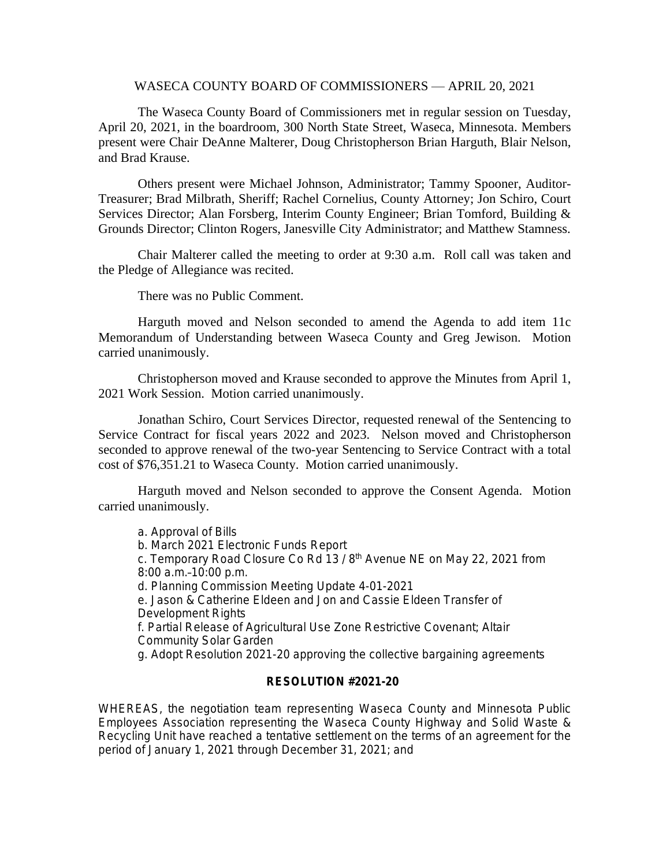#### WASECA COUNTY BOARD OF COMMISSIONERS — APRIL 20, 2021

The Waseca County Board of Commissioners met in regular session on Tuesday, April 20, 2021, in the boardroom, 300 North State Street, Waseca, Minnesota. Members present were Chair DeAnne Malterer, Doug Christopherson Brian Harguth, Blair Nelson, and Brad Krause.

Others present were Michael Johnson, Administrator; Tammy Spooner, Auditor-Treasurer; Brad Milbrath, Sheriff; Rachel Cornelius, County Attorney; Jon Schiro, Court Services Director; Alan Forsberg, Interim County Engineer; Brian Tomford, Building & Grounds Director; Clinton Rogers, Janesville City Administrator; and Matthew Stamness.

Chair Malterer called the meeting to order at 9:30 a.m. Roll call was taken and the Pledge of Allegiance was recited.

There was no Public Comment.

Harguth moved and Nelson seconded to amend the Agenda to add item 11c Memorandum of Understanding between Waseca County and Greg Jewison. Motion carried unanimously.

Christopherson moved and Krause seconded to approve the Minutes from April 1, 2021 Work Session. Motion carried unanimously.

Jonathan Schiro, Court Services Director, requested renewal of the Sentencing to Service Contract for fiscal years 2022 and 2023. Nelson moved and Christopherson seconded to approve renewal of the two-year Sentencing to Service Contract with a total cost of \$76,351.21 to Waseca County. Motion carried unanimously.

Harguth moved and Nelson seconded to approve the Consent Agenda. Motion carried unanimously.

a. Approval of Bills b. March 2021 Electronic Funds Report c. Temporary Road Closure Co Rd 13 / 8th Avenue NE on May 22, 2021 from 8:00 a.m.–10:00 p.m. d. Planning Commission Meeting Update 4-01-2021 e. Jason & Catherine Eldeen and Jon and Cassie Eldeen Transfer of Development Rights f. Partial Release of Agricultural Use Zone Restrictive Covenant; Altair Community Solar Garden g. Adopt Resolution 2021-20 approving the collective bargaining agreements

### **RESOLUTION #2021-20**

WHEREAS, the negotiation team representing Waseca County and Minnesota Public Employees Association representing the Waseca County Highway and Solid Waste & Recycling Unit have reached a tentative settlement on the terms of an agreement for the period of January 1, 2021 through December 31, 2021; and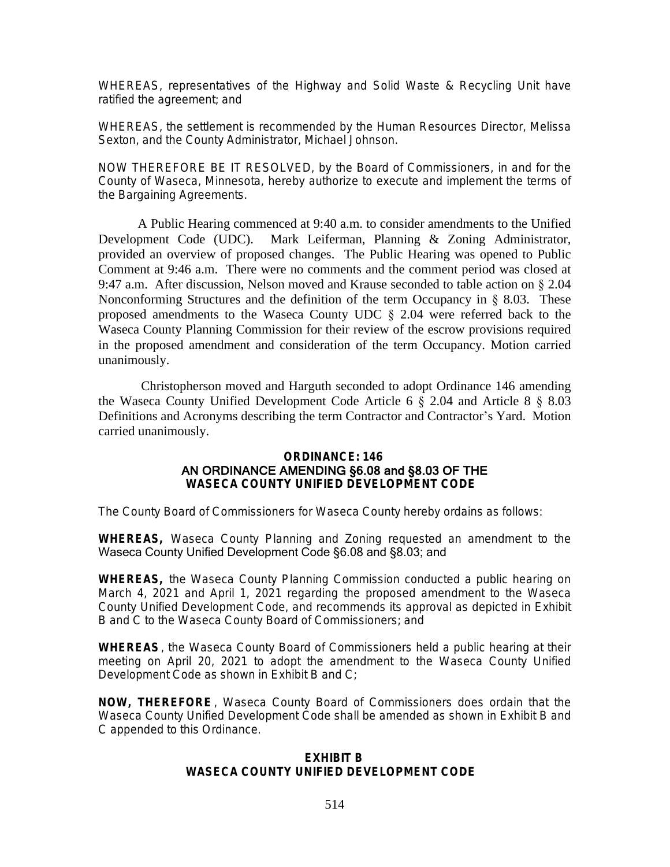WHEREAS, representatives of the Highway and Solid Waste & Recycling Unit have ratified the agreement; and

WHEREAS, the settlement is recommended by the Human Resources Director, Melissa Sexton, and the County Administrator, Michael Johnson.

NOW THEREFORE BE IT RESOLVED, by the Board of Commissioners, in and for the County of Waseca, Minnesota, hereby authorize to execute and implement the terms of the Bargaining Agreements.

A Public Hearing commenced at 9:40 a.m. to consider amendments to the Unified Development Code (UDC). Mark Leiferman, Planning & Zoning Administrator, provided an overview of proposed changes. The Public Hearing was opened to Public Comment at 9:46 a.m. There were no comments and the comment period was closed at 9:47 a.m. After discussion, Nelson moved and Krause seconded to table action on § 2.04 Nonconforming Structures and the definition of the term Occupancy in  $\S$  8.03. These proposed amendments to the Waseca County UDC § 2.04 were referred back to the Waseca County Planning Commission for their review of the escrow provisions required in the proposed amendment and consideration of the term Occupancy. Motion carried unanimously.

Christopherson moved and Harguth seconded to adopt Ordinance 146 amending the Waseca County Unified Development Code Article 6 § 2.04 and Article 8 § 8.03 Definitions and Acronyms describing the term Contractor and Contractor's Yard. Motion carried unanimously.

### **ORDINANCE: 146** AN ORDINANCE AMENDING §6.08 and §8.03 OF THE **WASECA COUNTY UNIFIED DEVELOPMENT CODE**

The County Board of Commissioners for Waseca County hereby ordains as follows:

**WHEREAS,** Waseca County Planning and Zoning requested an amendment to the Waseca County Unified Development Code §6.08 and §8.03; and

**WHEREAS,** the Waseca County Planning Commission conducted a public hearing on March 4, 2021 and April 1, 2021 regarding the proposed amendment to the Waseca County Unified Development Code, and recommends its approval as depicted in Exhibit B and C to the Waseca County Board of Commissioners; and

**WHEREAS**, the Waseca County Board of Commissioners held a public hearing at their meeting on April 20, 2021 to adopt the amendment to the Waseca County Unified Development Code as shown in Exhibit B and C;

**NOW, THEREFORE** , Waseca County Board of Commissioners does ordain that the Waseca County Unified Development Code shall be amended as shown in Exhibit B and C appended to this Ordinance.

### **EXHIBIT B WASECA COUNTY UNIFIED DEVELOPMENT CODE**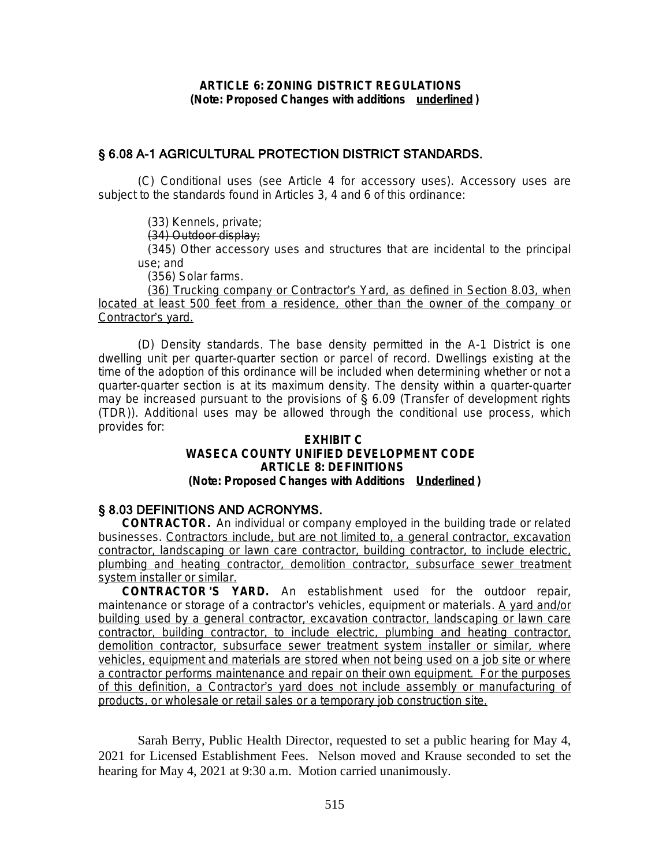# § 6.08 A-1 AGRICULTURAL PROTECTION DISTRICT STANDARDS.

(C) *Conditional uses (see Article 4 for accessory uses).* Accessory uses are subject to the standards found in Articles 3, 4 and 6 of this ordinance:

(33) Kennels, private;

(34) Outdoor display;

(345) Other accessory uses and structures that are incidental to the principal use; and

(356) Solar farms.

(36) Trucking company or Contractor's Yard, as defined in Section 8.03, when located at least 500 feet from a residence, other than the owner of the company or Contractor's yard.

(D) *Density standards.* The base density permitted in the A-1 District is one dwelling unit per quarter-quarter section or parcel of record. Dwellings existing at the time of the adoption of this ordinance will be included when determining whether or not a quarter-quarter section is at its maximum density. The density within a quarter-quarter may be increased pursuant to the provisions of  $\S$  6.09 (Transfer of development rights (TDR)). Additional uses may be allowed through the conditional use process, which provides for:

### **EXHIBIT C WASECA COUNTY UNIFIED DEVELOPMENT CODE ARTICLE 8: DEFINITIONS (Note: Proposed Changes with Additions Underlined )**

## § 8.03 DEFINITIONS AND ACRONYMS.

*CONTRACTOR.* An individual or company employed in the building trade or related businesses. *Contractors include, but are not limited to, a general contractor, excavation contractor, landscaping or lawn care contractor, building contractor, to include electric, plumbing and heating contractor, demolition contractor, subsurface sewer treatment system installer or similar.*

*CONTRACTOR* '*S YARD.* An establishment used for the outdoor repair, maintenance or storage of a contractor's vehicles, equipment or materials. *A yard and/or building used by a general contractor, excavation contractor, landscaping or lawn care contractor, building contractor, to include electric, plumbing and heating contractor, demolition contractor, subsurface sewer treatment system installer or similar, where vehicles, equipment and materials are stored when not being used on a job site or where a contractor performs maintenance and repair on their own equipment. For the purposes of this definition, a Contractor*'*s yard does not include assembly or manufacturing of products, or wholesale or retail sales or a temporary job construction site.*

Sarah Berry, Public Health Director, requested to set a public hearing for May 4, 2021 for Licensed Establishment Fees. Nelson moved and Krause seconded to set the hearing for May 4, 2021 at 9:30 a.m. Motion carried unanimously.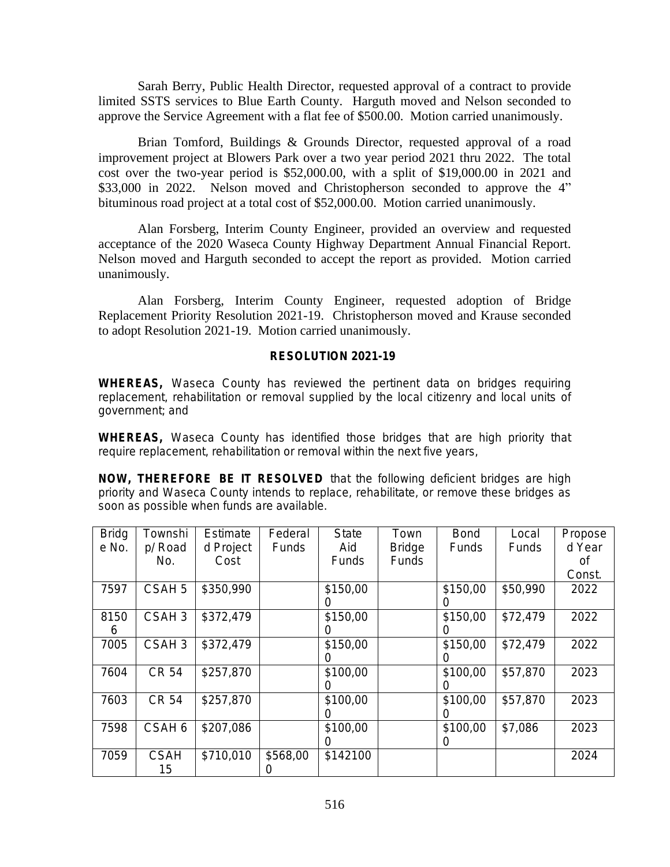Sarah Berry, Public Health Director, requested approval of a contract to provide limited SSTS services to Blue Earth County. Harguth moved and Nelson seconded to approve the Service Agreement with a flat fee of \$500.00. Motion carried unanimously.

Brian Tomford, Buildings & Grounds Director, requested approval of a road improvement project at Blowers Park over a two year period 2021 thru 2022. The total cost over the two-year period is \$52,000.00, with a split of \$19,000.00 in 2021 and \$33,000 in 2022. Nelson moved and Christopherson seconded to approve the 4" bituminous road project at a total cost of \$52,000.00. Motion carried unanimously.

Alan Forsberg, Interim County Engineer, provided an overview and requested acceptance of the 2020 Waseca County Highway Department Annual Financial Report. Nelson moved and Harguth seconded to accept the report as provided. Motion carried unanimously.

Alan Forsberg, Interim County Engineer, requested adoption of Bridge Replacement Priority Resolution 2021-19. Christopherson moved and Krause seconded to adopt Resolution 2021-19. Motion carried unanimously.

### **RESOLUTION 2021-19**

**WHEREAS,** Waseca County has reviewed the pertinent data on bridges requiring replacement, rehabilitation or removal supplied by the local citizenry and local units of government; and

**WHEREAS,** Waseca County has identified those bridges that are high priority that require replacement, rehabilitation or removal within the next five years,

**NOW, THEREFORE BE IT RESOLVED** that the following deficient bridges are high priority and Waseca County intends to replace, rehabilitate, or remove these bridges as soon as possible when funds are available.

| <b>Bridg</b> | Townshi           | Estimate  | Federal      | <b>State</b>     | Town          | <b>Bond</b>  | Local    | Propose |
|--------------|-------------------|-----------|--------------|------------------|---------------|--------------|----------|---------|
| e No.        | p/ Road           | d Project | <b>Funds</b> | Aid              | <b>Bridge</b> | <b>Funds</b> | Funds    | d Year  |
|              | No.               | Cost      |              | Funds            | Funds         |              |          | 0f      |
|              |                   |           |              |                  |               |              |          | Const.  |
| 7597         | CSAH <sub>5</sub> | \$350,990 |              | \$150,00         |               | \$150,00     | \$50,990 | 2022    |
|              |                   |           |              | O                |               |              |          |         |
| 8150         | CSAH <sub>3</sub> | \$372,479 |              | \$150,00         |               | \$150,00     | \$72,479 | 2022    |
| 6            |                   |           |              | O                |               |              |          |         |
| 7005         | CSAH <sub>3</sub> | \$372,479 |              | \$150,00         |               | \$150,00     | \$72,479 | 2022    |
|              |                   |           |              | O                |               |              |          |         |
| 7604         | <b>CR 54</b>      | \$257,870 |              | \$100,00         |               | \$100,00     | \$57,870 | 2023    |
|              |                   |           |              | $\left( \right)$ |               | 0            |          |         |
| 7603         | <b>CR 54</b>      | \$257,870 |              | \$100,00         |               | \$100,00     | \$57,870 | 2023    |
|              |                   |           |              | $\left( \right)$ |               | 0            |          |         |
| 7598         | CSAH 6            | \$207,086 |              | \$100,00         |               | \$100,00     | \$7,086  | 2023    |
|              |                   |           |              | $\left( \right)$ |               | 0            |          |         |
| 7059         | <b>CSAH</b>       | \$710,010 | \$568,00     | \$142100         |               |              |          | 2024    |
|              | 15                |           |              |                  |               |              |          |         |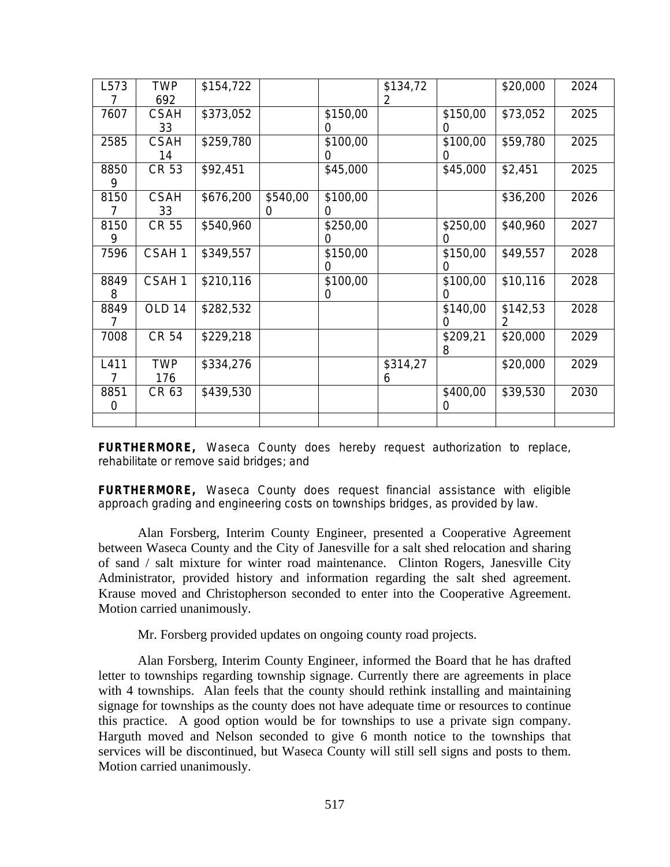| L573 | <b>TWP</b>        | \$154,722 |          |          | \$134,72 |          | \$20,000 | 2024 |
|------|-------------------|-----------|----------|----------|----------|----------|----------|------|
|      | 692               |           |          |          | 2        |          |          |      |
| 7607 | <b>CSAH</b>       | \$373,052 |          | \$150,00 |          | \$150,00 | \$73,052 | 2025 |
|      | 33                |           |          |          |          | $\Omega$ |          |      |
| 2585 | <b>CSAH</b>       | \$259,780 |          | \$100,00 |          | \$100,00 | \$59,780 | 2025 |
|      | 14                |           |          |          |          | $\Omega$ |          |      |
| 8850 | <b>CR 53</b>      | \$92,451  |          | \$45,000 |          | \$45,000 | \$2,451  | 2025 |
| 9    |                   |           |          |          |          |          |          |      |
| 8150 | <b>CSAH</b>       | \$676,200 | \$540,00 | \$100,00 |          |          | \$36,200 | 2026 |
| 7    | 33                |           | 0        |          |          |          |          |      |
| 8150 | <b>CR 55</b>      | \$540,960 |          | \$250,00 |          | \$250,00 | \$40,960 | 2027 |
| 9    |                   |           |          |          |          | $\Omega$ |          |      |
| 7596 | CSAH1             | \$349,557 |          | \$150,00 |          | \$150,00 | \$49,557 | 2028 |
|      |                   |           |          |          |          | ∩        |          |      |
| 8849 | CSAH1             | \$210,116 |          | \$100,00 |          | \$100,00 | \$10,116 | 2028 |
| 8    |                   |           |          | 0        |          | 0        |          |      |
| 8849 | OLD <sub>14</sub> | \$282,532 |          |          |          | \$140,00 | \$142,53 | 2028 |
| 7    |                   |           |          |          |          | 0        | 2        |      |
| 7008 | CR 54             | \$229,218 |          |          |          | \$209,21 | \$20,000 | 2029 |
|      |                   |           |          |          |          | 8        |          |      |
| L411 | <b>TWP</b>        | \$334,276 |          |          | \$314,27 |          | \$20,000 | 2029 |
| 7    | 176               |           |          |          | 6        |          |          |      |
| 8851 | CR 63             | \$439,530 |          |          |          | \$400,00 | \$39,530 | 2030 |
| 0    |                   |           |          |          |          | $\Omega$ |          |      |
|      |                   |           |          |          |          |          |          |      |

**FURTHERMORE,** Waseca County does hereby request authorization to replace, rehabilitate or remove said bridges; and

**FURTHERMORE,** Waseca County does request financial assistance with eligible approach grading and engineering costs on townships bridges, as provided by law.

Alan Forsberg, Interim County Engineer, presented a Cooperative Agreement between Waseca County and the City of Janesville for a salt shed relocation and sharing of sand / salt mixture for winter road maintenance. Clinton Rogers, Janesville City Administrator, provided history and information regarding the salt shed agreement. Krause moved and Christopherson seconded to enter into the Cooperative Agreement. Motion carried unanimously.

Mr. Forsberg provided updates on ongoing county road projects.

Alan Forsberg, Interim County Engineer, informed the Board that he has drafted letter to townships regarding township signage. Currently there are agreements in place with 4 townships. Alan feels that the county should rethink installing and maintaining signage for townships as the county does not have adequate time or resources to continue this practice. A good option would be for townships to use a private sign company. Harguth moved and Nelson seconded to give 6 month notice to the townships that services will be discontinued, but Waseca County will still sell signs and posts to them. Motion carried unanimously.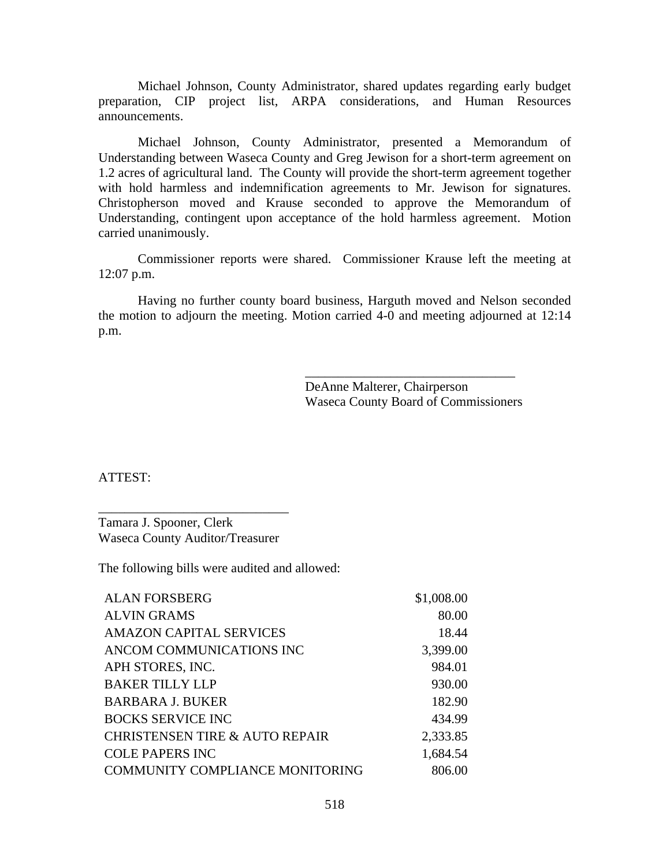Michael Johnson, County Administrator, shared updates regarding early budget preparation, CIP project list, ARPA considerations, and Human Resources announcements.

Michael Johnson, County Administrator, presented a Memorandum of Understanding between Waseca County and Greg Jewison for a short-term agreement on 1.2 acres of agricultural land. The County will provide the short-term agreement together with hold harmless and indemnification agreements to Mr. Jewison for signatures. Christopherson moved and Krause seconded to approve the Memorandum of Understanding, contingent upon acceptance of the hold harmless agreement. Motion carried unanimously.

Commissioner reports were shared. Commissioner Krause left the meeting at 12:07 p.m.

Having no further county board business, Harguth moved and Nelson seconded the motion to adjourn the meeting. Motion carried  $4-0$  and meeting adjourned at 12:14 p.m.

> DeAnne Malterer, Chairperson Waseca County Board of Commissioners

\_\_\_\_\_\_\_\_\_\_\_\_\_\_\_\_\_\_\_\_\_\_\_\_\_\_\_\_\_\_\_\_

ATTEST:

Tamara J. Spooner, Clerk Waseca County Auditor/Treasurer

\_\_\_\_\_\_\_\_\_\_\_\_\_\_\_\_\_\_\_\_\_\_\_\_\_\_\_\_\_

The following bills were audited and allowed:

| \$1,008.00 |
|------------|
| 80.00      |
| 18.44      |
| 3,399.00   |
| 984.01     |
| 930.00     |
| 182.90     |
| 434.99     |
| 2,333.85   |
| 1,684.54   |
| 806.00     |
|            |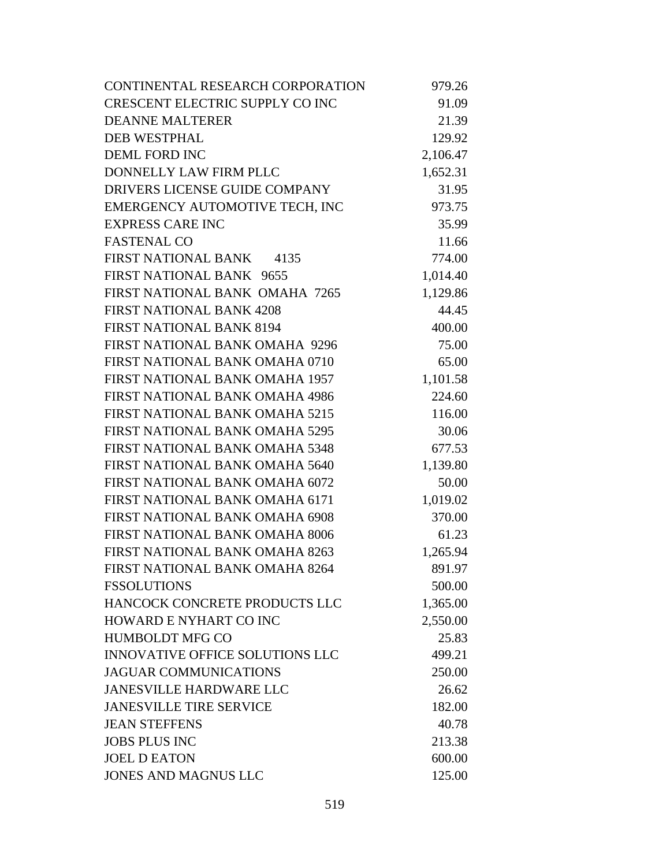| CONTINENTAL RESEARCH CORPORATION       | 979.26   |
|----------------------------------------|----------|
| <b>CRESCENT ELECTRIC SUPPLY CO INC</b> | 91.09    |
| <b>DEANNE MALTERER</b>                 | 21.39    |
| <b>DEB WESTPHAL</b>                    | 129.92   |
| <b>DEML FORD INC</b>                   | 2,106.47 |
| DONNELLY LAW FIRM PLLC                 | 1,652.31 |
| DRIVERS LICENSE GUIDE COMPANY          | 31.95    |
| EMERGENCY AUTOMOTIVE TECH, INC         | 973.75   |
| <b>EXPRESS CARE INC</b>                | 35.99    |
| <b>FASTENAL CO</b>                     | 11.66    |
| FIRST NATIONAL BANK 4135               | 774.00   |
| FIRST NATIONAL BANK 9655               | 1,014.40 |
| FIRST NATIONAL BANK OMAHA 7265         | 1,129.86 |
| <b>FIRST NATIONAL BANK 4208</b>        | 44.45    |
| <b>FIRST NATIONAL BANK 8194</b>        | 400.00   |
| FIRST NATIONAL BANK OMAHA 9296         | 75.00    |
| FIRST NATIONAL BANK OMAHA 0710         | 65.00    |
| FIRST NATIONAL BANK OMAHA 1957         | 1,101.58 |
| FIRST NATIONAL BANK OMAHA 4986         | 224.60   |
| FIRST NATIONAL BANK OMAHA 5215         | 116.00   |
| FIRST NATIONAL BANK OMAHA 5295         | 30.06    |
| FIRST NATIONAL BANK OMAHA 5348         | 677.53   |
| FIRST NATIONAL BANK OMAHA 5640         | 1,139.80 |
| FIRST NATIONAL BANK OMAHA 6072         | 50.00    |
| FIRST NATIONAL BANK OMAHA 6171         | 1,019.02 |
| FIRST NATIONAL BANK OMAHA 6908         | 370.00   |
| FIRST NATIONAL BANK OMAHA 8006         | 61.23    |
| FIRST NATIONAL BANK OMAHA 8263         | 1,265.94 |
| FIRST NATIONAL BANK OMAHA 8264         | 891.97   |
| <b>FSSOLUTIONS</b>                     | 500.00   |
| HANCOCK CONCRETE PRODUCTS LLC          | 1,365.00 |
| <b>HOWARD E NYHART CO INC</b>          | 2,550.00 |
| <b>HUMBOLDT MFG CO</b>                 | 25.83    |
| <b>INNOVATIVE OFFICE SOLUTIONS LLC</b> | 499.21   |
| <b>JAGUAR COMMUNICATIONS</b>           | 250.00   |
| <b>JANESVILLE HARDWARE LLC</b>         | 26.62    |
| <b>JANESVILLE TIRE SERVICE</b>         | 182.00   |
| <b>JEAN STEFFENS</b>                   | 40.78    |
| <b>JOBS PLUS INC</b>                   | 213.38   |
| <b>JOEL D EATON</b>                    | 600.00   |
| <b>JONES AND MAGNUS LLC</b>            | 125.00   |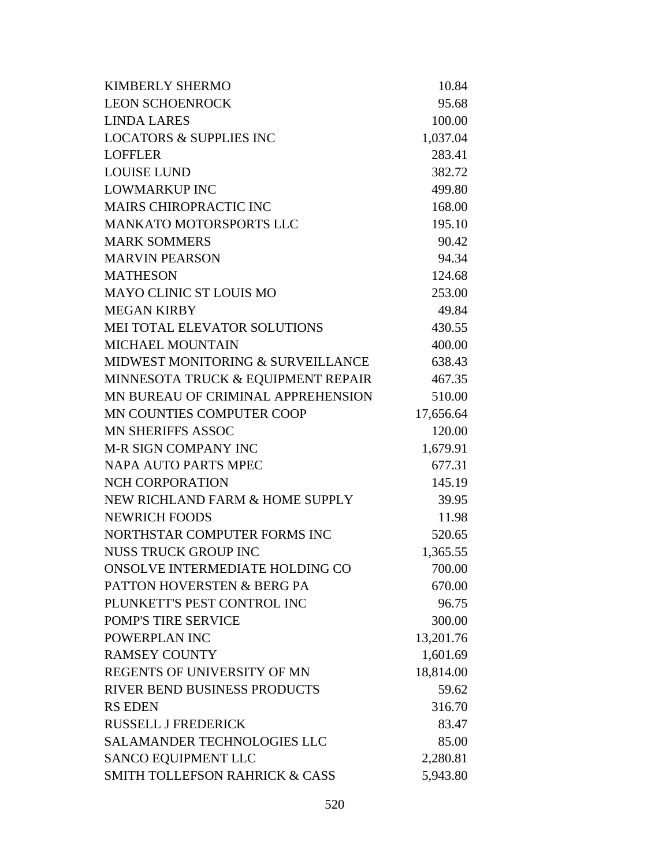| <b>KIMBERLY SHERMO</b>                    | 10.84     |
|-------------------------------------------|-----------|
| <b>LEON SCHOENROCK</b>                    | 95.68     |
| <b>LINDA LARES</b>                        | 100.00    |
| <b>LOCATORS &amp; SUPPLIES INC</b>        | 1,037.04  |
| <b>LOFFLER</b>                            | 283.41    |
| <b>LOUISE LUND</b>                        | 382.72    |
| <b>LOWMARKUP INC</b>                      | 499.80    |
| MAIRS CHIROPRACTIC INC                    | 168.00    |
| <b>MANKATO MOTORSPORTS LLC</b>            | 195.10    |
| <b>MARK SOMMERS</b>                       | 90.42     |
| <b>MARVIN PEARSON</b>                     | 94.34     |
| <b>MATHESON</b>                           | 124.68    |
| <b>MAYO CLINIC ST LOUIS MO</b>            | 253.00    |
| <b>MEGAN KIRBY</b>                        | 49.84     |
| MEI TOTAL ELEVATOR SOLUTIONS              | 430.55    |
| <b>MICHAEL MOUNTAIN</b>                   | 400.00    |
| MIDWEST MONITORING & SURVEILLANCE         | 638.43    |
| MINNESOTA TRUCK & EQUIPMENT REPAIR        | 467.35    |
| MN BUREAU OF CRIMINAL APPREHENSION        | 510.00    |
| MN COUNTIES COMPUTER COOP                 | 17,656.64 |
| <b>MN SHERIFFS ASSOC</b>                  | 120.00    |
| <b>M-R SIGN COMPANY INC</b>               | 1,679.91  |
| <b>NAPA AUTO PARTS MPEC</b>               | 677.31    |
| <b>NCH CORPORATION</b>                    | 145.19    |
| NEW RICHLAND FARM & HOME SUPPLY           | 39.95     |
| <b>NEWRICH FOODS</b>                      | 11.98     |
| NORTHSTAR COMPUTER FORMS INC              | 520.65    |
| <b>NUSS TRUCK GROUP INC</b>               | 1,365.55  |
| ONSOLVE INTERMEDIATE HOLDING CO           | 700.00    |
| PATTON HOVERSTEN & BERG PA                | 670.00    |
| PLUNKETT'S PEST CONTROL INC               | 96.75     |
| POMP'S TIRE SERVICE                       | 300.00    |
| POWERPLAN INC                             | 13,201.76 |
| <b>RAMSEY COUNTY</b>                      | 1,601.69  |
| REGENTS OF UNIVERSITY OF MN               | 18,814.00 |
| <b>RIVER BEND BUSINESS PRODUCTS</b>       | 59.62     |
| <b>RS EDEN</b>                            | 316.70    |
| <b>RUSSELL J FREDERICK</b>                | 83.47     |
| <b>SALAMANDER TECHNOLOGIES LLC</b>        | 85.00     |
| <b>SANCO EQUIPMENT LLC</b>                | 2,280.81  |
| <b>SMITH TOLLEFSON RAHRICK &amp; CASS</b> | 5,943.80  |